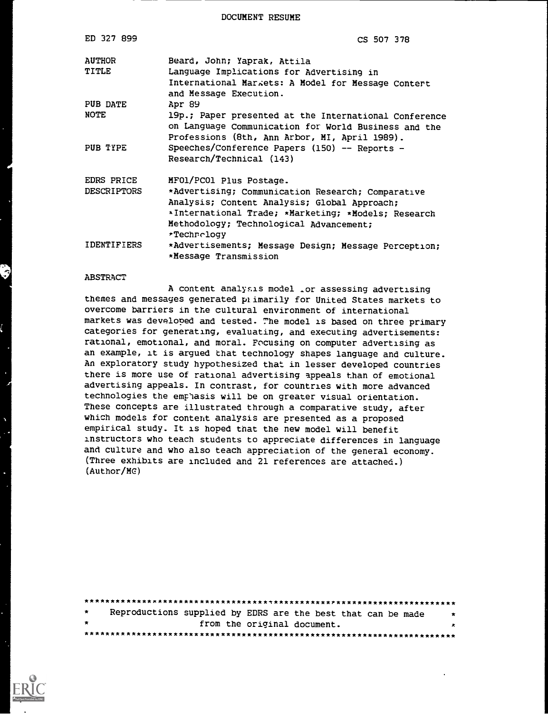DOCUMENT RESUME

| ED 327 899      | CS 507 378                                                                                                                                                     |
|-----------------|----------------------------------------------------------------------------------------------------------------------------------------------------------------|
| <b>AUTHOR</b>   | Beard, John; Yaprak, Attila                                                                                                                                    |
| TITLE           | Language Implications for Advertising in<br>International Markets: A Model for Message Contert<br>and Message Execution.                                       |
| <b>PUB DATE</b> | Apr 89                                                                                                                                                         |
| NOTE            | 19p.; Paper presented at the International Conference<br>on Language Communication for World Business and the<br>Professions (8th, Ann Arbor, MI, April 1989). |
| PUB TYPE        | Speeches/Conference Papers (150) -- Reports -<br>Research/Technical (143)                                                                                      |
| EDRS PRICE      | MF01/PC01 Plus Postage.                                                                                                                                        |
| DESCRIPTORS     | *Advertising; Communication Research; Comparative                                                                                                              |
|                 | Analysis; Content Analysis; Global Approach;                                                                                                                   |
|                 | *International Trade; *Marketing; *Models; Research                                                                                                            |
|                 | Methodology; Technological Advancement;                                                                                                                        |
|                 | *Technology                                                                                                                                                    |
| IDENTIFIERS     | *Advertisements; Message Design; Message Perception;<br>*Message Transmission                                                                                  |

#### ABSTRACT

A content analyslis model \_or assessing advertising themes and messages generated plimarily for United States markets to overcome barriers in the cultural environment of international markets was developed and tested. The model is based on three primary categories for generating, evaluating, and executing advertisements: rational, emotional, and moral. Focusing on computer advertising as an example, it is argued that technology shapes language and culture. An exploratory study hypothesized that in lesser developed countries there is more use of rational advertising appeals than of emotional advertising appeals. In contrast, for countries with more advanced technologies the empiasis will be on greater visual orientation. These concepts are illustrated through a comparative study, after which models for content analysis are presented as a proposed empirical study. It is hoped that the new model will benefit instructors who teach students to appreciate differences in language and culture and who also teach appreciation of the general economy. (Three exhibits are included and 21 references are attached.) (Author/MG)

| $\star$ |  | Reproductions supplied by EDRS are the best that can be made | $\star$ |
|---------|--|--------------------------------------------------------------|---------|
| $\star$ |  | from the original document.                                  | ×       |
|         |  |                                                              |         |

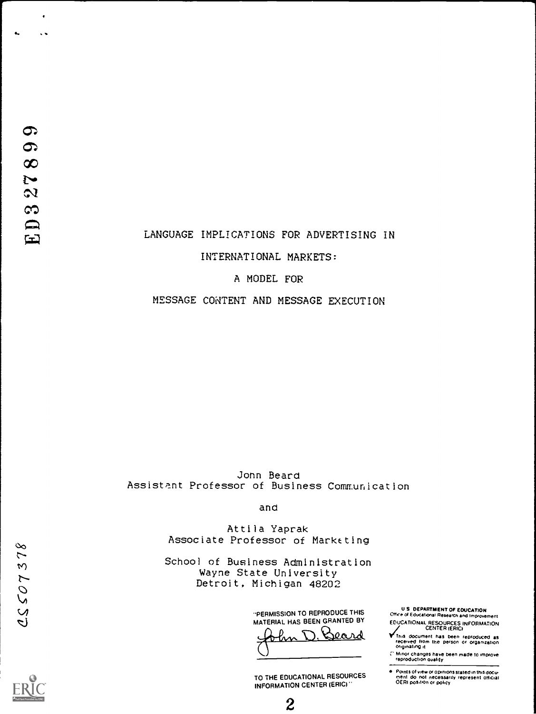$\ddot{\phantom{1}}$  $\ddot{\phantom{1}}$ 

### LANGUAGE IMPLICATIONS FOR ADVERTISING IN

#### INTERNATIONAL MARKETS:

#### A MODEL FOR

MESSAGE CONTENT AND MESSAGE EXECUTION

John Beard Assistant Professor of Business Communication

and

Attila Yaprak Associate Professor of Marketino

School of Business Administration Wayne State University Detroit, Michigan 48202

> "PERMISSION TO REPRODUCE THIS MATERIAL HAS BEEN GRANTED BY Beard w

TO THE EDUCATIONAL RESOURCES INFORMATION CENTER (ERIC)

 $\overline{2}$ 

U S DEPARTMENT OF EOUCATION CMce o Educabonat Research and improvement

EDUCATIONAL RESOURCES INFORMATION CENTER (ERIC)

**V** This document has been reproduced as<br>received from the person or organization<br>originating it

Minor changes have been made to improve.<br>reproduction quality

Points of view or opinions stated in this docu<del>.</del><br>ment ido: not inecessarily represent official<br>OERI position or policy

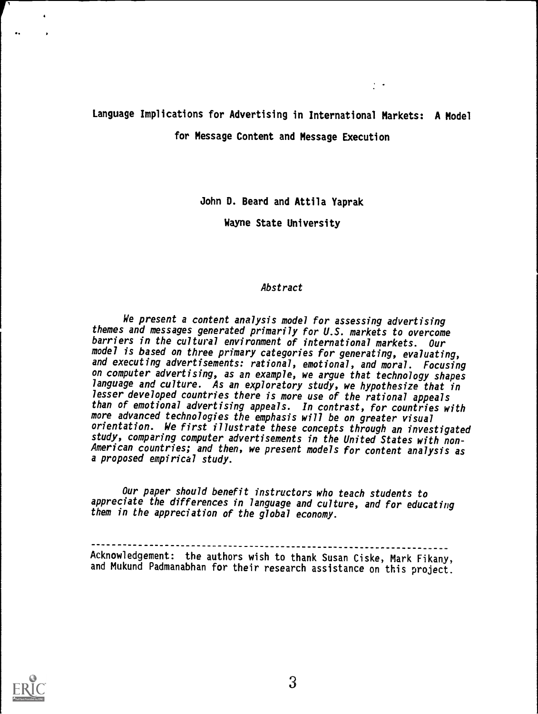# Language Implications for Advertising in International Markets: A Model for Message Content and Message Execution

 $\frac{1}{2}$ 

John D. Beard and Attila Yaprak

Wayne State University

#### Abstract

We present a content analysis model for assessing advertising themes and messages generated primarily for U.S. markets to overcome barriers in the cultural environment of international markets. Our model is based on three primary categories for generating, evaluating, and executing advertisements: rational, emotional, and moral. Focusing on computer advertising, as an example, we argue that technology shapes language and culture. As an exploratory study, we hypothesize that in lesser developed countries there is more use of the rational appeals than of emotional advertising appeals. In contrast, for countries with more advanced technologies the emphasis will be on greater visual orientation. We first illustrate these concepts through an investigated study, comparing computer advertisements in the United States with non-American countries; and then, we present models for content analysis as a proposed empirical study.

Our paper should benefit instructors who teach students to appreciate the differences in language and culture, and for educating them in the appreciation of the global economy.

Acknowledgement: the authors wish to thank Susan Ciske, Mark Fikany, and Mukund Padmanabhan for their research assistance on this project.

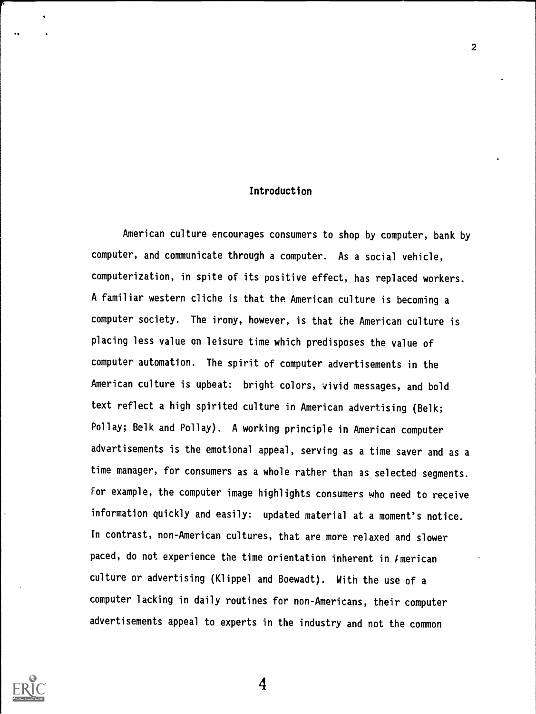#### Introduction

American culture encourages consumers to shop by computer, bank by computer, and communicate through a computer. As a social vehicle, computerization, in spite of its positive effect, has replaced workers. A familiar western cliche is that the American culture is becoming a computer society. The irony, however, is that the American culture is placing less value on leisure time which predisposes the value of computer automation. The spirit of computer advertisements in the American culture is upbeat: bright colors, vivid messages, and bold text reflect a high spirited culture in American advertising (Belk; Pollay; Belk and Pollay). A working principle in American computer advertisements is the emotional appeal, serving as a time saver and as a time manager, for consumers as a whole rather than as selected segments. For example, the computer image highlights consumers who need to receive information quickly and easily: updated material at a moment's notice. In contrast, non-American cultures, that are more relaxed and slower paced, do not experience the time orientation inherent in  $I$ merican culture or advertising (Klippel and Boewadt). With the use of a computer lacking in daily routines for non-Americans, their computer advertisements appeal to experts in the industry and not the common

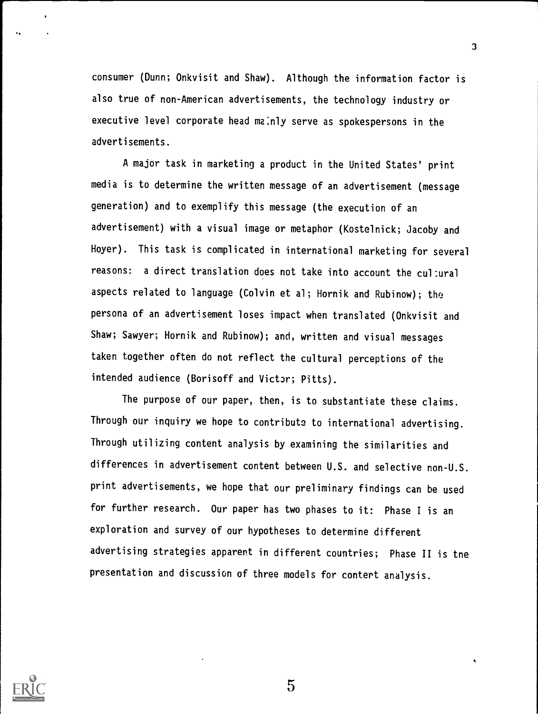consumer (Dunn; Onkvisit and Shaw). Although the information factor is also true of non-American advertisements, the technology industry or executive level corporate head ma:nly serve as spokespersons in the advertisements.

3

A major task in marketing a product in the United States' print media is to determine the written message of an advertisement (message generation) and to exemplify this message (the execution of an advertisement) with a visual image or metaphor (Kostelnick; Jacoby and Hoyer). This task is complicated in international marketing for several reasons: a direct translation does not take into account the cul:ural aspects related to language (Colvin et al; Hornik and Rubinow); the persona of an advertisement loses impact when translated (Onkvisit and Shaw; Sawyer; Hornik and Rubinow); and, written and visual messages taken together often do not reflect the cultural perceptions of the intended audience (Borisoff and Victor; Pitts).

The purpose of our paper, then, is to substantiate these claims. Through our inquiry we hope to contribute to international advertising. Through utilizing content analysis by examining the similarities and differences in advertisement content between U.S. and selective non-U.S. print advertisements, we hope that our preliminary findings can be used for further research. Our paper has two phases to it: Phase I is an exploration and survey of our hypotheses to determine different advertising strategies apparent in different countries; Phase II is tne presentation and discussion of three models for contert analysis.



 $\overline{5}$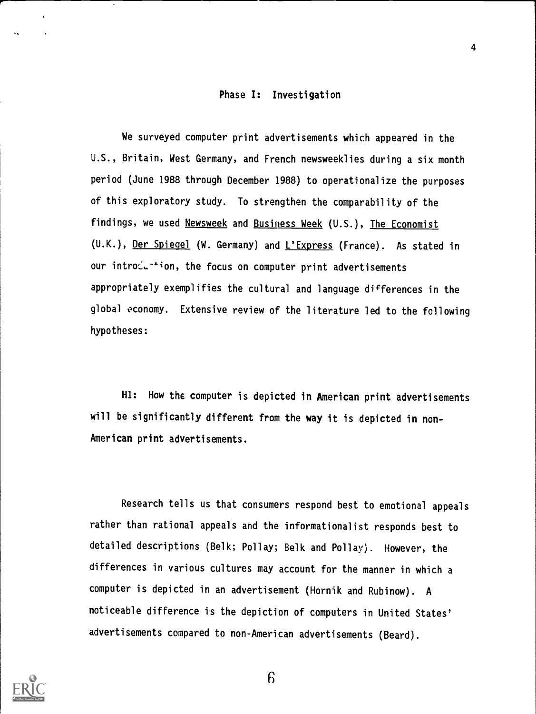#### Phase I: Investigation

4

We surveyed computer print advertisements which appeared in the U.S., Britain, West Germany, and French newsweeklies during a six month period (June 1988 through December 1988) to operationalize the purposes of this exploratory study. To strengthen the comparability of the findings, we used Newsweek and Business Week (U.S.), The Economist (U.K.), Der Spiegel (W. Germany) and L'Express (France). As stated in our intro $\zeta$ -+ion, the focus on computer print advertisements appropriately exemplifies the cultural and language differences in the global economy. Extensive review of the literature led to the following hypotheses:

Hl: How the computer is depicted in American print advertisements will be significantly different from the way it is depicted in non-American print advertisements.

Research tells us that consumers respond best to emotional appeals rather than rational appeals and the informationalist responds best to detailed descriptions (Belk; Pollay; Belk and Pollay). However, the differences in various cultures may account for the manner in which a computer is depicted in an advertisement (Hornik and Rubinow). A noticeable difference is the depiction of computers in United States' advertisements compared to non-American advertisements (Beard).

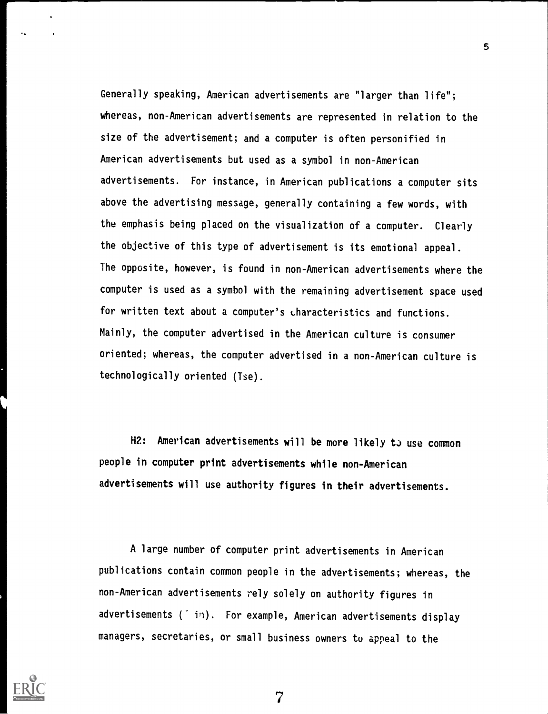Generally speaking, American advertisements are "larger than life"; whereas, non-American advertisements are represented in relation to the size of the advertisement; and a computer is often personified in American advertisements but used as a symbol in non-American advertisements. For instance, in American publications a computer sits above the advertising message, generally containing a few words, with the emphasis being placed on the visualization of a computer. Clearly the objective of this type of advertisement is its emotional appeal. The opposite, however, is found in non-American advertisements where the computer is used as a symbol with the remaining advertisement space used for written text about a computer's Lharacteristics and functions. Mainly, the computer advertised in the American culture is consumer oriented; whereas, the computer advertised in a non-American culture is technologically oriented (Tse).

H2: American advertisements will be more likely to use common people in computer print advertisements while non-American advertisements will use authority figures in their advertisements.

A large number of computer print advertisements in American publications contain common people in the advertisements; whereas, the non-American advertisements rely solely on authority figures in advertisements (iii). For example, American advertisements display managers, secretaries, or small business owners to appeal to the



5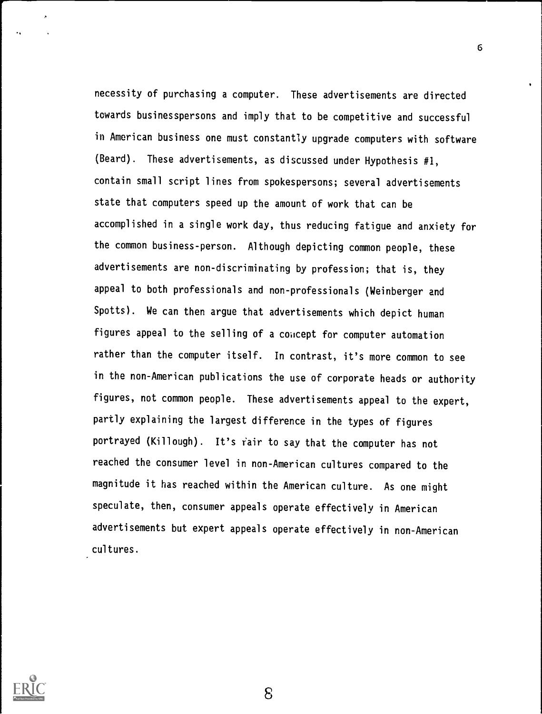necessity of purchasing a computer. These advertisements are directed towards businesspersons and imply that to be competitive and successful in American business one must constantly upgrade computers with software (Beard). These advertisements, as discussed under Hypothesis #1, contain small script lines from spokespersons; several advertisements state that computers speed up the amount of work that can be accomplished in a single work day, thus reducing fatigue and anxiety for the common business-person. Although depicting common people, these advertisements are non-discriminating by profession; that is, they appeal to both professionals and non-professionals (Weinberger and Spotts). We can then argue that advertisements which depict human figures appeal to the selling of a concept for computer automation rather than the computer itself. In contrast, it's more common to see in the non-American publications the use of corporate heads or authority figures, not common people. These advertisements appeal to the expert, partly explaining the largest difference in the types of figures portrayed (Killough). It's fair to say that the computer has not reached the consumer level in non-American cultures compared to the magnitude it has reached within the American culture. As one might speculate, then, consumer appeals operate effectively in American advertisements but expert appeals operate effectively in non-American cultures.



8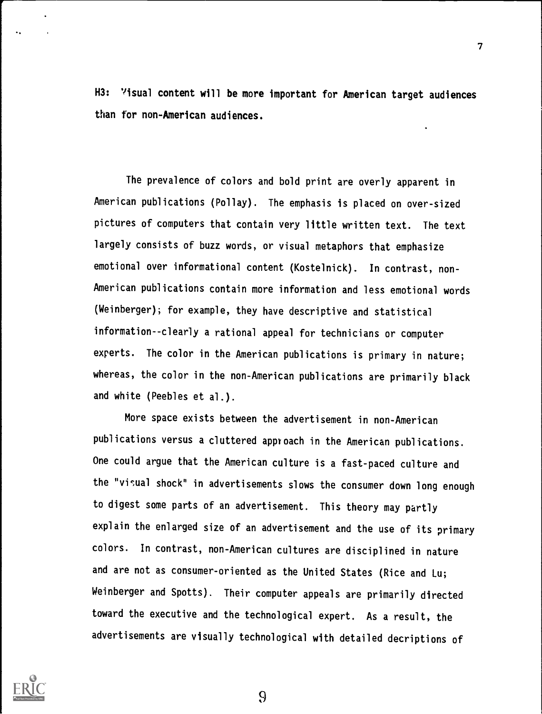H3: 'isual content will be more important for American target audiences than for non-American audiences.

The prevalence of colors and bold print are overly apparent in American publications (Pollay). The emphasis is placed on over-sized pictures of computers that contain very little written text. The text largely consists of buzz words, or visual metaphors that emphasize emotional over informational content (Kostelnick). In contrast, non-American publications contain more information and less emotional words (Weinberger); for example, they have descriptive and statistical information--clearly a rational appeal for technicians or computer experts. The color in the American publications is primary in nature; whereas, the color in the non-American publications are primarily black and white (Peebles et al.).

More space exists between the advertisement in non-American publications versus a cluttered approach in the American publications. One could argue that the American culture is a fast-paced culture and the "visual shock" in advertisements slows the consumer down long enough to digest some parts of an advertisement. This theory may partly explain the enlarged size of an advertisement and the use of its primary colors. In contrast, non-American cultures are disciplined in nature and are not as consumer-oriented as the United States (Rice and Lu; Weinberger and Spotts). Their computer appeals are primarily directed toward the executive and the technological expert. As a result, the advertisements are visually technological with detailed decriptions of

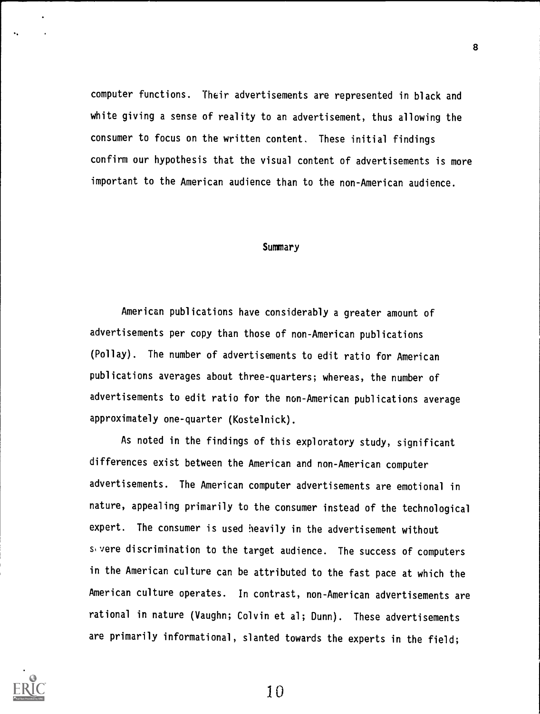computer functions. Their advertisements are represented in black and white giving a sense of reality to an advertisement, thus allowing the consumer to focus on the written content. These initial findings confirm our hypothesis that the visual content of advertisements is more important to the American audience than to the non-American audience.

#### **Summary**

American publications have considerably a greater amount of advertisements per copy than those of non-American publications (Pollay). The number of advertisements to edit ratio for American publications averages about three-quarters; whereas, the number of advertisements to edit ratio for the non-American publications average approximately one-quarter (Kostelnick).

As noted in the findings of this exploratory study, significant differences exist between the American and non-American computer advertisements. The American computer advertisements are emotional in nature, appealing primarily to the consumer instead of the technological expert. The consumer is used heavily in the advertisement without svere discrimination to the target audience. The success of computers in the American culture can be attributed to the fast pace at which the American culture operates. In contrast, non-American advertisements are rational in nature (Vaughn; Colvin et al; Dunn). These advertisements are primarily informational, slanted towards the experts in the field;



1 0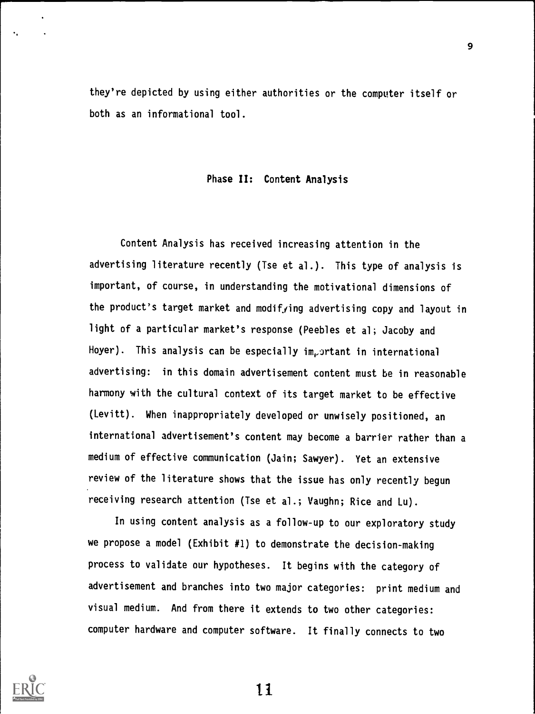they're depicted by using either authorities or the computer itself or both as an informational tool.

## Phase II: Content Analysis

Content Analysis has received increasing attention in the advertising literature recently (Tse et al.). This type of analysis is important, of course, in understanding the motivational dimensions of the product's target market and modifying advertising copy and layout in light of a particular market's response (Peebles et al; Jacoby and Hoyer). This analysis can be especially im<sub>r</sub>ortant in international advertising: in this domain advertisement content must be in reasonable harmony with the cultural context of its target market to be effective (Levitt). When inappropriately developed or unwisely positioned, an international advertisement's content may become a barrier rather than a medium of effective communication (Jain; Sawyer). Yet an extensive review of the literature shows that the issue has only recently begun receiving research attention (Tse et al.; Vaughn; Rice and Lu).

In using content analysis as a follow-up to our exploratory study we propose a model (Exhibit #1) to demonstrate the decision-making process to validate our hypotheses. It begins with the category of advertisement and branches into two major categories: print medium and visual medium. And from there it extends to two other categories: computer hardware and computer software. It finally connects to two

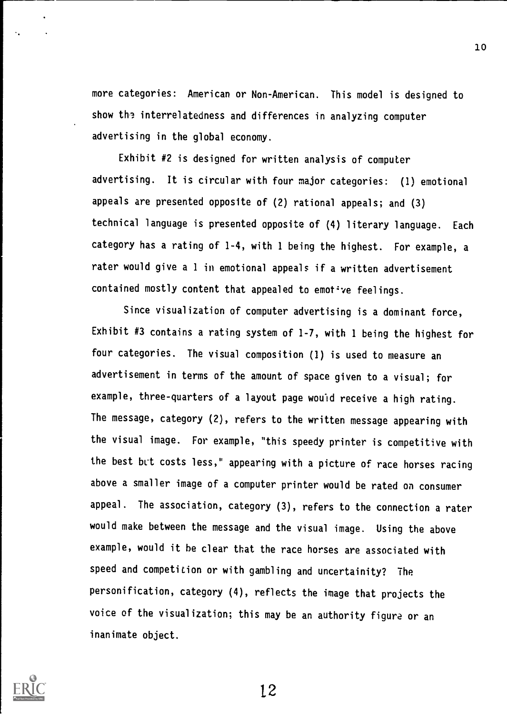more categories: American or Non-American. This model is designed to show the interrelatedness and differences in analyzing computer advertising in the global economy.

Exhibit #2 is designed for written analysis of computer advertising. It is circular with four major categories: (1) emotional appeals are presented opposite of (2) rational appeals; and (3) technical language is presented opposite of (4) literary language. Each category has a rating of 1-4, with 1 being the highest. For example, a rater would give a 1 in emotional appeals if a written advertisement contained mostly content that appealed to emot've feelings.

Since visualization of computer advertising is a dominant force, Exhibit #3 contains a rating system of 1-7, with 1 being the highest for four categories. The visual composition (1) is used to measure an advertisement in terms of the amount of space given to a visual; for example, three-quarters of a layout page would receive a high rating. The message, category (2), refers to the written message appearing with the visual image. For example, "this speedy printer is competitive with the best but costs less," appearing with a picture of race horses racing above a smaller image of a computer printer would be rated on consumer appeal. The association, category (3), refers to the connection a rater would make between the message and the visual image. Using the above example, would it be clear that the race horses are associated with speed and competition or with gambling and uncertainity? The personification, category (4), reflects the image that projects the voice of the visualization; this may be an authority figure or an inanimate object.

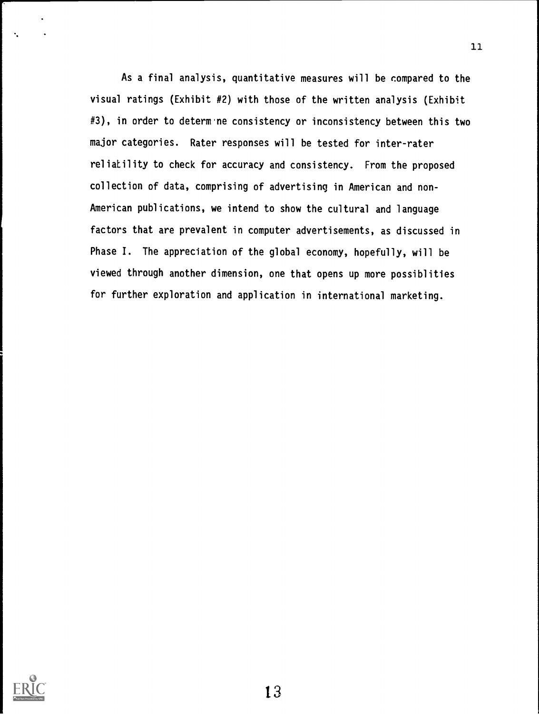As a final analysis, quantitative measures will be compared to the visual ratings (Exhibit #2) with those of the written analysis (Exhibit #3), in order to determ ne consistency or inconsistency between this two major categories. Rater responses will be tested for inter-rater reliatility to check for accuracy and consistency. From the proposed collection of data, comprising of advertising in American and non-American publications, we intend to show the cultural and language factors that are prevalent in computer advertisements, as discussed in Phase I. The appreciation of the global economy, hopefully, will be viewed through another dimension, one that opens up more possiblities for further exploration and application in international marketing.

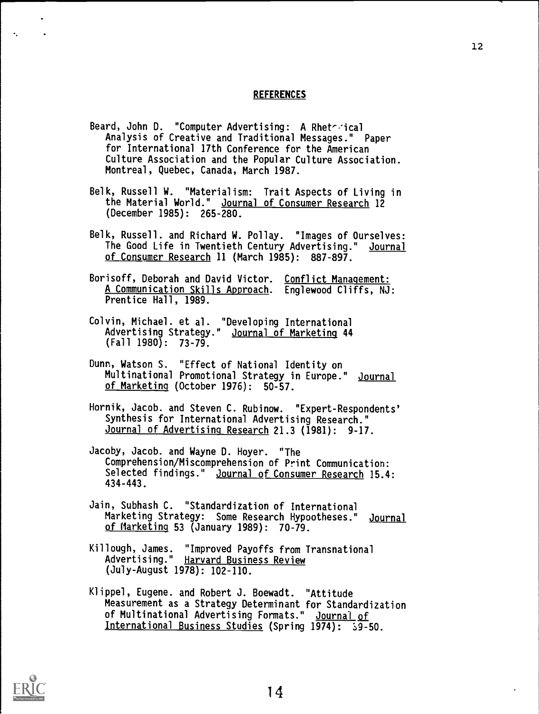#### **REFERENCES**

- Beard, John D. "Computer Advertising: A Rheterical Analysis of Creative and Traditional Messages." Paper for International 17th Conference for the American Culture Association and the Popular Culture Association. Montreal, Quebec, Canada, March 1987.
- Belk, Russell W. "Materialism: Trait Aspects of Living in the Material World." Journal of Consumer Research 12 (December 1985): 265-280.
- Belk, Russell. and Richard W. Pollay. "Images of Ourselves: The Good Life in Twentieth Century Advertising." Journal of Consumer Research 11 (March 1985): 887-897.
- Borisoff, Deborah and David Victor. Conflict Management: A Communication Skills Approach. Englewood Cliffs, NJ: Prentice Hall, 1989.
- Colvin, Michael. et al. "Developing International Advertising Strategy." Journal of Marketing 44 (Fall 1980): 73-79.
- Dunn, Watson S. "Effect of National Identity on Multinational Promotional Strategy in Europe." Journal of Marketing (October 1976): 50-57.
- Hornik, Jacob. and Steven C. Rubinow. "Expert-Respondents' Synthesis for International Advertising Research." Journal of Advertising Research 21.3 (1981): 9-17.
- Jacoby, Jacob. and Wayne D. Hoyer. "The Comprehension/Miscomprehension of Print Communication: Selected findings." Journal of Consumer Research 15.4: 434-443.
- Jain, Subhash C. "Standardization of International Marketing Strategy: Some Research Hypootheses." Journal of Marketing 53 (January 1989): 70-79.
- Killough, James. "Improved Payoffs from Transnational Advertising." Harvard Business Review (July-August 1978): 102-110.
- Klippel, Eugene. and Robert J. Boewadt. "Attitude Measurement as a Strategy Determinant for Standardization of Multinational Advertising Formats." Journal of International Business Studies (Spring 1974):  $\frac{1}{3}9-50$ .

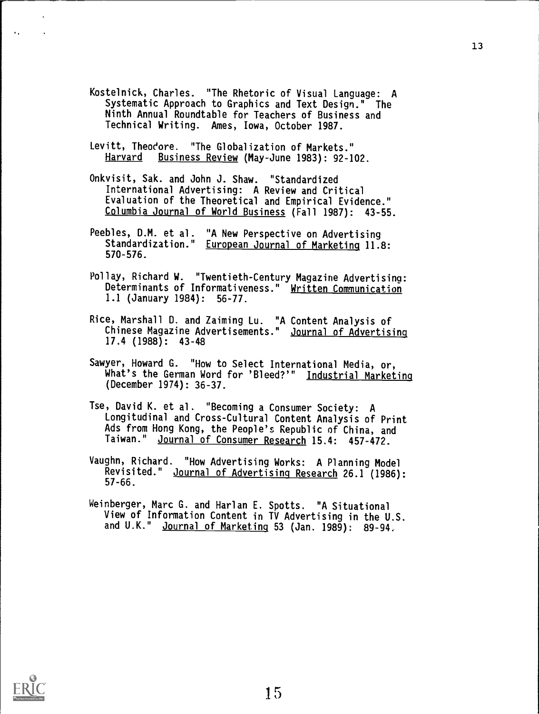- Kostelnick, Charles. "The Rhetoric of Visual Language: A Systematic Approach to Graphics and Text Design." The Ninth Annual Roundtable for Teachers of Business and Technical Writing. Ames, Iowa, October 1987.
- Levitt, Theodore. "The Globalization of Markets."<br>Harvard Business Review (May-June 1983): 92-1 Business Review (May-June 1983): 92-102.
- Onkvisit, Sak. and John J. Shaw. "Standardized International Advertising: A Review and Critical Evaluation of the Theoretical and Empirical Evidence." Columbia Journal of World Business (Fall 1987): 43-55.
- Peebles, D.M. et al. "A New Perspective on Advertising Standardization." European Journal of Marketing 11.8: 570-576.
- Pollay, Richard W. "Twentieth-Century Magazine Advertisina: Determinants of Informativeness." Written Communication 1.1 (January 1984): 56-77.
- Rice, Marshall D. and Zaiming Lu. "A Content Analysis of Chinese Magazine Advertisements." Journal of Advertising 17.4 (1988): 43-48
- Sawyer, Howard G. "How to Select International Media, or, What's the German Word for 'Bleed?'" Industrial Marketing (December 1974): 36-37.
- Tse, David K. et al. "Becoming a Consumer Society: A Longitudinal and Cross-Cultural Content Analysis of Print Ads from Hong Kong, the People's Republic of China, and Taiwan." Journal of Consumer Research 15.4: 457-472.
- Vaughn, Richard. "How Advertising Works: A Planning Model Revisited." Journal of Advertising Research 26.1 (1986): 57-66.
- Weinberger, Marc G. and Harlan E. Spotts. "A Situational View of Information Content in TV Advertising in the U.S. and U.K." Journal of Marketing 53 (Jan. 1989): 89-94.

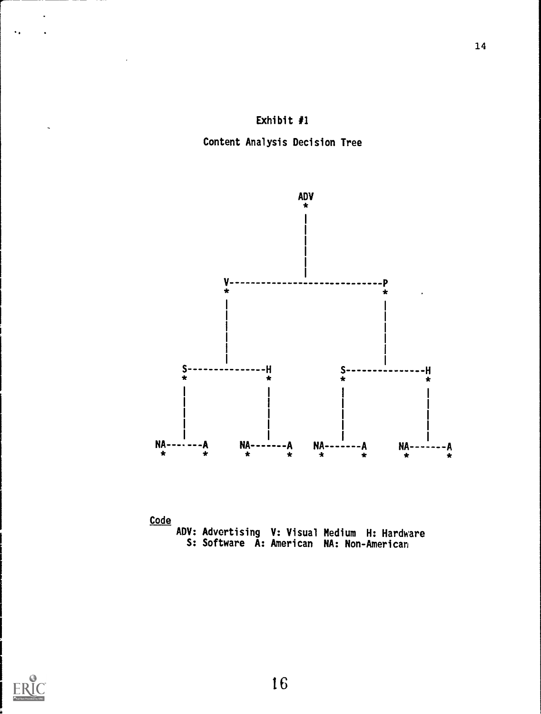

Content Analysis Decision Tree





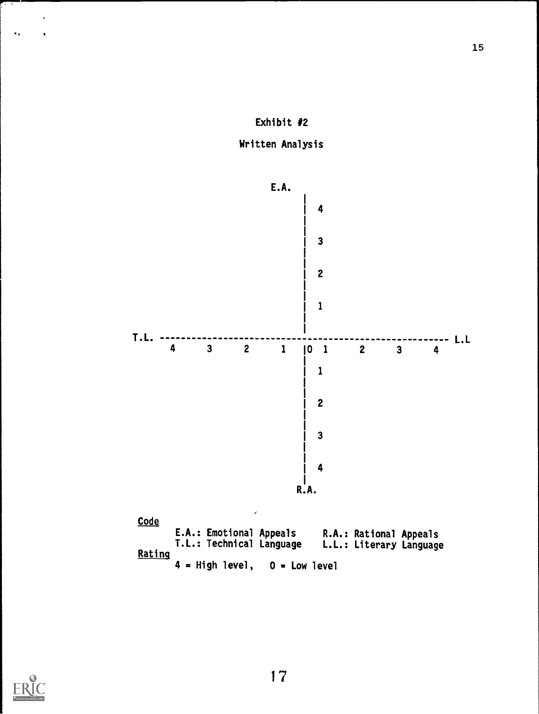





l.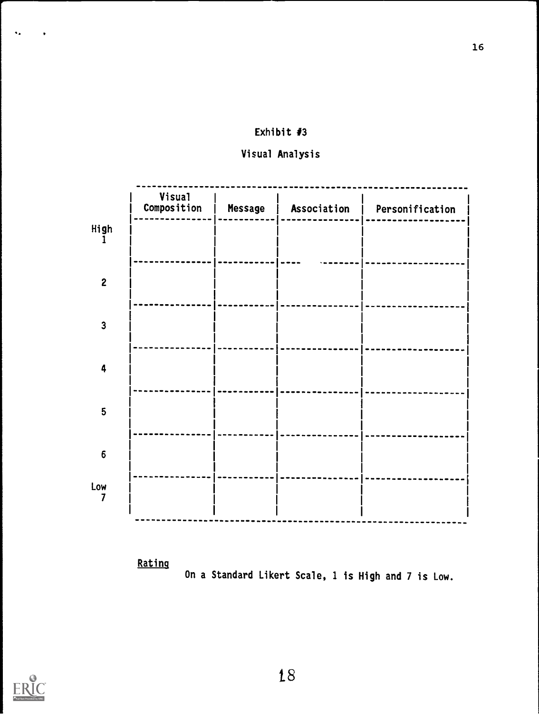## Exhibit #3

## Visual Analysis

|                         | <b>Visual</b><br>Composition | Message | Association | Personification |
|-------------------------|------------------------------|---------|-------------|-----------------|
| High                    |                              |         |             |                 |
| $\overline{2}$          |                              |         |             |                 |
|                         |                              |         |             |                 |
| $\overline{\mathbf{3}}$ |                              |         |             |                 |
| 4                       |                              |         |             |                 |
| 5                       |                              |         |             |                 |
| $\boldsymbol{6}$        |                              |         |             |                 |
| Low                     |                              |         |             |                 |

Rating





 $\bullet$  .

 $\bullet$